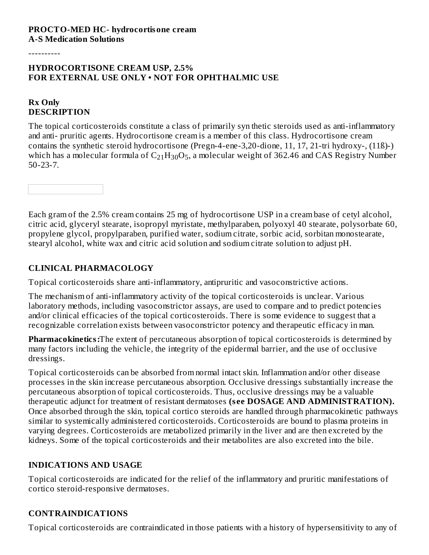----------

#### **HYDROCORTISONE CREAM USP, 2.5% FOR EXTERNAL USE ONLY • NOT FOR OPHTHALMIC USE**

### **Rx Only DESCRIPTION**

The topical corticosteroids constitute a class of primarily syn thetic steroids used as anti-inflammatory and anti- pruritic agents. Hydrocortisone cream is a member of this class. Hydrocortisone cream contains the synthetic steroid hydrocortisone (Pregn-4-ene-3,20-dione, 11, 17, 21-tri hydroxy-, (11ß)-) which has a molecular formula of  $\rm C_{21}H_{30}O_5$ , a molecular weight of 362.46 and CAS Registry Number 50-23-7.

Each gram of the 2.5% cream contains 25 mg of hydrocortisone USP in a cream base of cetyl alcohol, citric acid, glyceryl stearate, isopropyl myristate, methylparaben, polyoxyl 40 stearate, polysorbate 60, propylene glycol, propylparaben, purified water, sodium citrate, sorbic acid, sorbitan monostearate, stearyl alcohol, white wax and citric acid solution and sodium citrate solution to adjust pH.

# **CLINICAL PHARMACOLOGY**

Topical corticosteroids share anti-inflammatory, antipruritic and vasoconstrictive actions.

The mechanism of anti-inflammatory activity of the topical corticosteroids is unclear. Various laboratory methods, including vasoconstrictor assays, are used to compare and to predict potencies and/or clinical efficacies of the topical corticosteroids. There is some evidence to suggest that a recognizable correlation exists between vasoconstrictor potency and therapeutic efficacy in man.

**Pharmacokinetics:**The extent of percutaneous absorption of topical corticosteroids is determined by many factors including the vehicle, the integrity of the epidermal barrier, and the use of occlusive dressings.

Topical corticosteroids can be absorbed from normal intact skin. Inflammation and/or other disease processes in the skin increase percutaneous absorption. Occlusive dressings substantially increase the percutaneous absorption of topical corticosteroids. Thus, occlusive dressings may be a valuable therapeutic adjunct for treatment of resistant dermatoses **(s ee DOSAGE AND ADMINISTRATION).** Once absorbed through the skin, topical cortico steroids are handled through pharmacokinetic pathways similar to systemically administered corticosteroids. Corticosteroids are bound to plasma proteins in varying degrees. Corticosteroids are metabolized primarily in the liver and are then excreted by the kidneys. Some of the topical corticosteroids and their metabolites are also excreted into the bile.

# **INDICATIONS AND USAGE**

Topical corticosteroids are indicated for the relief of the inflammatory and pruritic manifestations of cortico steroid-responsive dermatoses.

# **CONTRAINDICATIONS**

Topical corticosteroids are contraindicated in those patients with a history of hypersensitivity to any of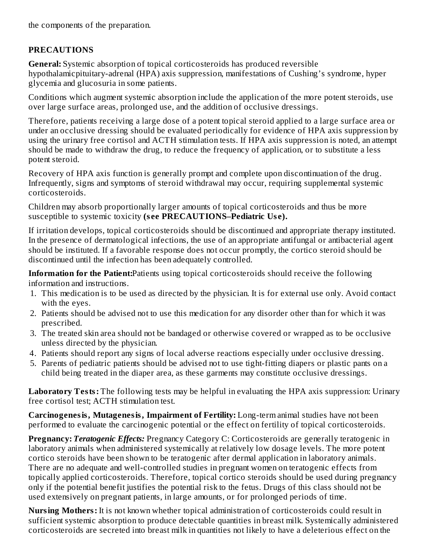the components of the preparation.

# **PRECAUTIONS**

**General:** Systemic absorption of topical corticosteroids has produced reversible hypothalamicpituitary-adrenal (HPA) axis suppression, manifestations of Cushing's syndrome, hyper glycemia and glucosuria in some patients.

Conditions which augment systemic absorption include the application of the more potent steroids, use over large surface areas, prolonged use, and the addition of occlusive dressings.

Therefore, patients receiving a large dose of a potent topical steroid applied to a large surface area or under an occlusive dressing should be evaluated periodically for evidence of HPA axis suppression by using the urinary free cortisol and ACTH stimulation tests. If HPA axis suppression is noted, an attempt should be made to withdraw the drug, to reduce the frequency of application, or to substitute a less potent steroid.

Recovery of HPA axis function is generally prompt and complete upon discontinuation of the drug. Infrequently, signs and symptoms of steroid withdrawal may occur, requiring supplemental systemic corticosteroids.

Children may absorb proportionally larger amounts of topical corticosteroids and thus be more susceptible to systemic toxicity **(s ee PRECAUTIONS–Pediatric Us e).**

If irritation develops, topical corticosteroids should be discontinued and appropriate therapy instituted. In the presence of dermatological infections, the use of an appropriate antifungal or antibacterial agent should be instituted. If a favorable response does not occur promptly, the cortico steroid should be discontinued until the infection has been adequately controlled.

**Information for the Patient:**Patients using topical corticosteroids should receive the following information and instructions.

- 1. This medication is to be used as directed by the physician. It is for external use only. Avoid contact with the eyes.
- 2. Patients should be advised not to use this medication for any disorder other than for which it was prescribed.
- 3. The treated skin area should not be bandaged or otherwise covered or wrapped as to be occlusive unless directed by the physician.
- 4. Patients should report any signs of local adverse reactions especially under occlusive dressing.
- 5. Parents of pediatric patients should be advised not to use tight-fitting diapers or plastic pants on a child being treated in the diaper area, as these garments may constitute occlusive dressings.

**Laboratory Tests:** The following tests may be helpful in evaluating the HPA axis suppression: Urinary free cortisol test; ACTH stimulation test.

**Carcinogenesis, Mutagenesis, Impairment of Fertility:** Long-term animal studies have not been performed to evaluate the carcinogenic potential or the effect on fertility of topical corticosteroids.

**Pregnancy:** *Teratogenic Effects:* Pregnancy Category C: Corticosteroids are generally teratogenic in laboratory animals when administered systemically at relatively low dosage levels. The more potent cortico steroids have been shown to be teratogenic after dermal application in laboratory animals. There are no adequate and well-controlled studies in pregnant women on teratogenic effects from topically applied corticosteroids. Therefore, topical cortico steroids should be used during pregnancy only if the potential benefit justifies the potential risk to the fetus. Drugs of this class should not be used extensively on pregnant patients, in large amounts, or for prolonged periods of time.

**Nursing Mothers:** It is not known whether topical administration of corticosteroids could result in sufficient systemic absorption to produce detectable quantities in breast milk. Systemically administered corticosteroids are secreted into breast milk in quantities not likely to have a deleterious effect on the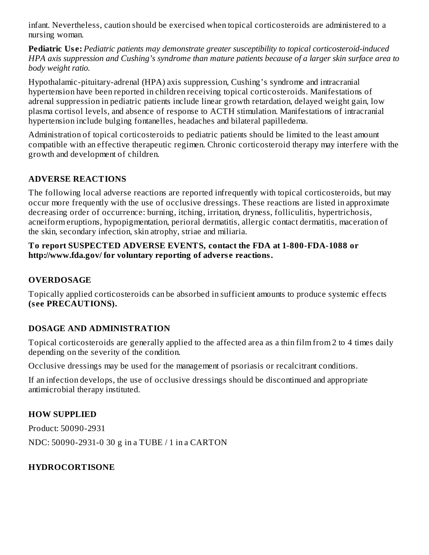infant. Nevertheless, caution should be exercised when topical corticosteroids are administered to a nursing woman.

**Pediatric Us e:** *Pediatric patients may demonstrate greater susceptibility to topical corticosteroid-induced HPA axis suppression and Cushing's syndrome than mature patients because of a larger skin surface area to body weight ratio.*

Hypothalamic-pituitary-adrenal (HPA) axis suppression, Cushing's syndrome and intracranial hypertension have been reported in children receiving topical corticosteroids. Manifestations of adrenal suppression in pediatric patients include linear growth retardation, delayed weight gain, low plasma cortisol levels, and absence of response to ACTH stimulation. Manifestations of intracranial hypertension include bulging fontanelles, headaches and bilateral papilledema.

Administration of topical corticosteroids to pediatric patients should be limited to the least amount compatible with an effective therapeutic regimen. Chronic corticosteroid therapy may interfere with the growth and development of children.

# **ADVERSE REACTIONS**

The following local adverse reactions are reported infrequently with topical corticosteroids, but may occur more frequently with the use of occlusive dressings. These reactions are listed in approximate decreasing order of occurrence: burning, itching, irritation, dryness, folliculitis, hypertrichosis, acneiform eruptions, hypopigmentation, perioral dermatitis, allergic contact dermatitis, maceration of the skin, secondary infection, skin atrophy, striae and miliaria.

#### **To report SUSPECTED ADVERSE EVENTS, contact the FDA at 1-800-FDA-1088 or http://www.fda.gov/ for voluntary reporting of advers e reactions.**

# **OVERDOSAGE**

Topically applied corticosteroids can be absorbed in sufficient amounts to produce systemic effects **(s ee PRECAUTIONS).**

# **DOSAGE AND ADMINISTRATION**

Topical corticosteroids are generally applied to the affected area as a thin film from 2 to 4 times daily depending on the severity of the condition.

Occlusive dressings may be used for the management of psoriasis or recalcitrant conditions.

If an infection develops, the use of occlusive dressings should be discontinued and appropriate antimicrobial therapy instituted.

# **HOW SUPPLIED**

Product: 50090-2931 NDC: 50090-2931-0 30 g in a TUBE / 1 in a CARTON

# **HYDROCORTISONE**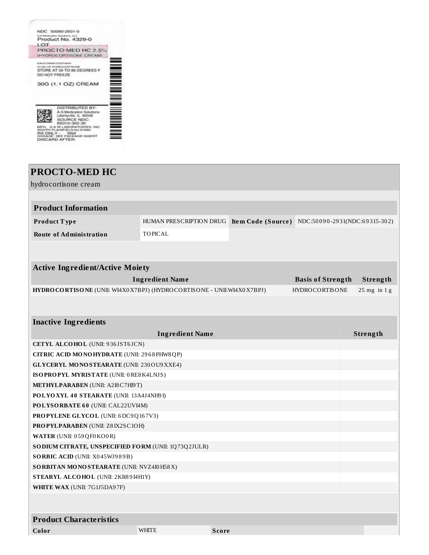

# **PROCTO-MED HC** hydrocortisone cream **Product Information Product T ype** HUMAN PRESCRIPTION DRUG **Ite m Code (Source )** NDC:50 0 9 0 -29 31(NDC:6 9 315-30 2) **Route of Administration** TOPICAL **Active Ingredient/Active Moiety Ingredient Name Basis of Strength Strength HYDROCORTISONE** (UNII: WI4X0X7BPJ) (HYDROCORTISONE - UNII:WI4X0X7BPJ) HYDROCORTISONE 25 mg in 1 g **Inactive Ingredients Ingredient Name Strength CETYL ALCOHOL** (UNII: 9 36 JST6 JCN) **CITRIC ACID MONOHYDRATE** (UNII: 29 6 8 PHW8QP) **GLYCERYL MONOSTEARATE** (UNII: 230OU9XXE4) **ISOPROPYL MYRISTATE** (UNII: 0RE8K4LNJS) **METHYLPARABEN** (UNII: A2I8C7HI9T) **POLYOXYL 4 0 STEARATE** (UNII: 13A4J4NH9 I) **POLYSORBATE 6 0** (UNII: CAL22UVI4M) **PROPYLENE GLYCOL** (UNII: 6DC9Q16 7V3) **PROPYLPARABEN** (UNII: Z8 IX2SC1OH) **WATER** (UNII: 0 59QF0KO0R) **SODIUM CITRATE, UNSPECIFIED FORM** (UNII: 1Q73Q2JULR) **SORBIC ACID** (UNII: X045WJ989B) **SORBITAN MONOSTEARATE** (UNII: NVZ4I0H58X) **STEARYL ALCOHOL** (UNII: 2KR8 9 I4H1Y) **WHITE WAX** (UNII: 7G1J5DA9 7F) **Product Characteristics Color** WHITE **Score**